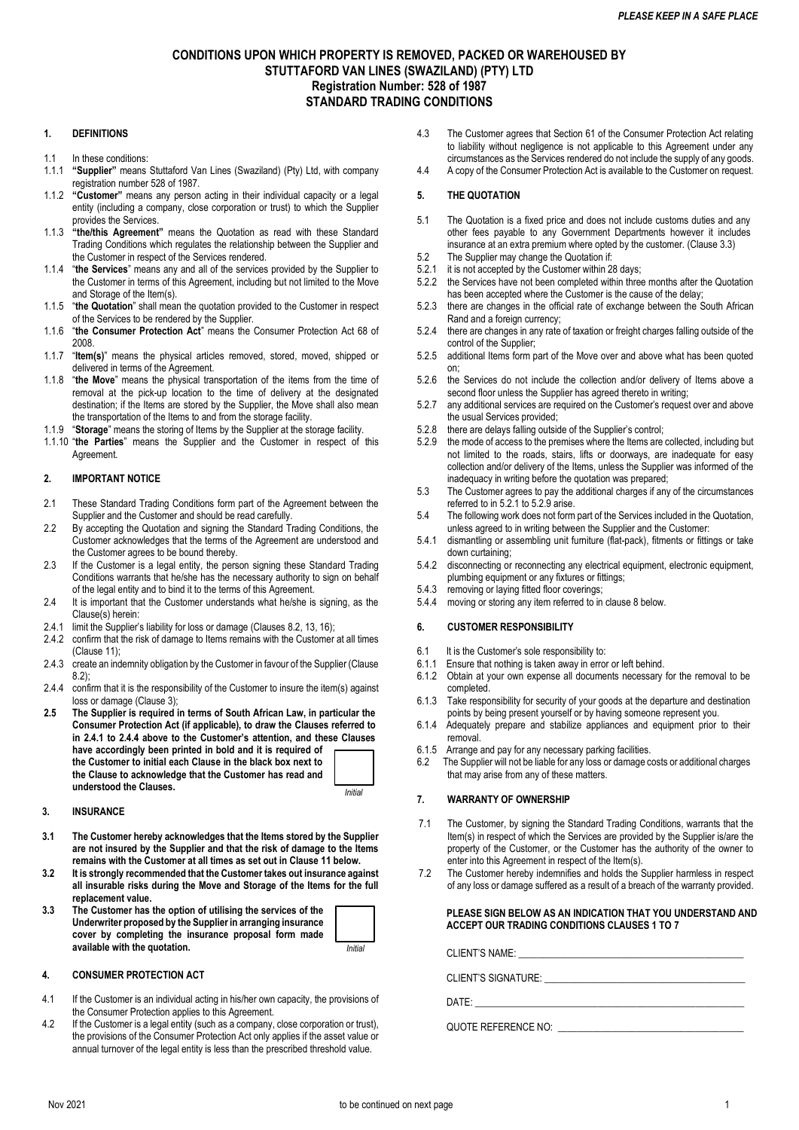# **CONDITIONS UPON WHICH PROPERTY IS REMOVED, PACKED OR WAREHOUSED BY STUTTAFORD VAN LINES (SWAZILAND) (PTY) LTD Registration Number: 528 of 1987 STANDARD TRADING CONDITIONS**

## **1. DEFINITIONS**

- 1.1 In these conditions:
- 1.1.1 **"Supplier"** means Stuttaford Van Lines (Swaziland) (Pty) Ltd, with company registration number 528 of 1987.
- 1.1.2 **"Customer"** means any person acting in their individual capacity or a legal entity (including a company, close corporation or trust) to which the Supplier provides the Services.
- 1.1.3 **"the/this Agreement"** means the Quotation as read with these Standard Trading Conditions which regulates the relationship between the Supplier and the Customer in respect of the Services rendered.
- 1.1.4 "**the Services**" means any and all of the services provided by the Supplier to the Customer in terms of this Agreement, including but not limited to the Move and Storage of the Item(s).
- 1.1.5 "**the Quotation**" shall mean the quotation provided to the Customer in respect of the Services to be rendered by the Supplier.
- 1.1.6 "**the Consumer Protection Act**" means the Consumer Protection Act 68 of 2008.
- 1.1.7 "**Item(s)**" means the physical articles removed, stored, moved, shipped or delivered in terms of the Agreement.
- 1.1.8 "**the Move**" means the physical transportation of the items from the time of removal at the pick-up location to the time of delivery at the designated destination; if the Items are stored by the Supplier, the Move shall also mean the transportation of the Items to and from the storage facility.
- 1.1.9 "**Storage**" means the storing of Items by the Supplier at the storage facility.
- 1.1.10 "**the Parties**" means the Supplier and the Customer in respect of this **Agreement**

### **2. IMPORTANT NOTICE**

- 2.1 These Standard Trading Conditions form part of the Agreement between the Supplier and the Customer and should be read carefully.
- 2.2 By accepting the Quotation and signing the Standard Trading Conditions, the Customer acknowledges that the terms of the Agreement are understood and the Customer agrees to be bound thereby.
- 2.3 If the Customer is a legal entity, the person signing these Standard Trading Conditions warrants that he/she has the necessary authority to sign on behalf of the legal entity and to bind it to the terms of this Agreement.
- 2.4 It is important that the Customer understands what he/she is signing, as the Clause(s) herein:
- 2.4.1 limit the Supplier's liability for loss or damage (Clauses 8.2, 13, 16);
- 2.4.2 confirm that the risk of damage to Items remains with the Customer at all times (Clause 11);
- 2.4.3 create an indemnity obligation by the Customer in favour of the Supplier (Clause 8.2);
- 2.4.4 confirm that it is the responsibility of the Customer to insure the item(s) against loss or damage (Clause 3);
- **2.5 The Supplier is required in terms of South African Law, in particular the Consumer Protection Act (if applicable), to draw the Clauses referred to in 2.4.1 to 2.4.4 above to the Customer's attention, and these Clauses have accordingly been printed in bold and it is required of the Customer to initial each Clause in the black box next to the Clause to acknowledge that the Customer has read and understood the Clauses.** *Initial*

### **3. INSURANCE**

- **3.1 The Customer hereby acknowledges that the Items stored by the Supplier are not insured by the Supplier and that the risk of damage to the Items remains with the Customer at all times as set out in Clause 11 below.**
- **3.2 It is strongly recommended that the Customer takes out insurance against all insurable risks during the Move and Storage of the Items for the full replacement value.**
- **3.3 The Customer has the option of utilising the services of the Underwriter proposed by the Supplier in arranging insurance cover by completing the insurance proposal form made available with the quotation.** *Initial*

## **4. CONSUMER PROTECTION ACT**

- 4.1 If the Customer is an individual acting in his/her own capacity, the provisions of the Consumer Protection applies to this Agreement.
- 4.2 If the Customer is a legal entity (such as a company, close corporation or trust), the provisions of the Consumer Protection Act only applies if the asset value or annual turnover of the legal entity is less than the prescribed threshold value.
- 4.3 The Customer agrees that Section 61 of the Consumer Protection Act relating to liability without negligence is not applicable to this Agreement under any circumstances as the Services rendered do not include the supply of any goods.
- 4.4 A copy of the Consumer Protection Act is available to the Customer on request.

### **5. THE QUOTATION**

- 5.1 The Quotation is a fixed price and does not include customs duties and any other fees payable to any Government Departments however it includes insurance at an extra premium where opted by the customer. (Clause 3.3)
- 5.2 The Supplier may change the Quotation if:<br>5.2.1 it is not accepted by the Customer within 28
- it is not accepted by the Customer within 28 days;
- 5.2.2 the Services have not been completed within three months after the Quotation has been accepted where the Customer is the cause of the delay;
- 5.2.3 there are changes in the official rate of exchange between the South African Rand and a foreign currency;
- 5.2.4 there are changes in any rate of taxation or freight charges falling outside of the control of the Supplier;
- 5.2.5 additional Items form part of the Move over and above what has been quoted on;
- 5.2.6 the Services do not include the collection and/or delivery of Items above a second floor unless the Supplier has agreed thereto in writing;
- 5.2.7 any additional services are required on the Customer's request over and above the usual Services provided;
- 5.2.8 there are delays falling outside of the Supplier's control;
- 5.2.9 the mode of access to the premises where the Items are collected, including but not limited to the roads, stairs, lifts or doorways, are inadequate for easy collection and/or delivery of the Items, unless the Supplier was informed of the inadequacy in writing before the quotation was prepared;
- 5.3 The Customer agrees to pay the additional charges if any of the circumstances referred to in 5.2.1 to 5.2.9 arise.
- 5.4 The following work does not form part of the Services included in the Quotation, unless agreed to in writing between the Supplier and the Customer:
- 5.4.1 dismantling or assembling unit furniture (flat-pack), fitments or fittings or take down curtaining;
- 5.4.2 disconnecting or reconnecting any electrical equipment, electronic equipment, plumbing equipment or any fixtures or fittings;
- 5.4.3 removing or laying fitted floor coverings;
- 5.4.4 moving or storing any item referred to in clause 8 below.

### **6. CUSTOMER RESPONSIBILITY**

- 6.1 It is the Customer's sole responsibility to:<br>6.1.1 Ensure that nothing is taken away in error
- Ensure that nothing is taken away in error or left behind.
- 6.1.2 Obtain at your own expense all documents necessary for the removal to be completed.
- 6.1.3 Take responsibility for security of your goods at the departure and destination points by being present yourself or by having someone represent you.
- 6.1.4 Adequately prepare and stabilize appliances and equipment prior to their removal.
- 6.1.5 Arrange and pay for any necessary parking facilities.
- 6.2 The Supplier will not be liable for any loss or damage costs or additional charges that may arise from any of these matters.

## **7. WARRANTY OF OWNERSHIP**

- 7.1 The Customer, by signing the Standard Trading Conditions, warrants that the Item(s) in respect of which the Services are provided by the Supplier is/are the property of the Customer, or the Customer has the authority of the owner to enter into this Agreement in respect of the Item(s).
- 7.2 The Customer hereby indemnifies and holds the Supplier harmless in respect of any loss or damage suffered as a result of a breach of the warranty provided.

### **PLEASE SIGN BELOW AS AN INDICATION THAT YOU UNDERSTAND AND ACCEPT OUR TRADING CONDITIONS CLAUSES 1 TO 7**

CLIENT'S NAME:

CLIENT'S SIGNATURE: \_\_\_\_\_\_\_\_\_\_\_\_\_\_\_\_\_\_\_\_\_\_\_\_\_\_\_\_\_\_\_\_\_\_\_\_\_\_\_\_\_

 $\mathsf{DATE}\colon$ 

QUOTE REFERENCE NO: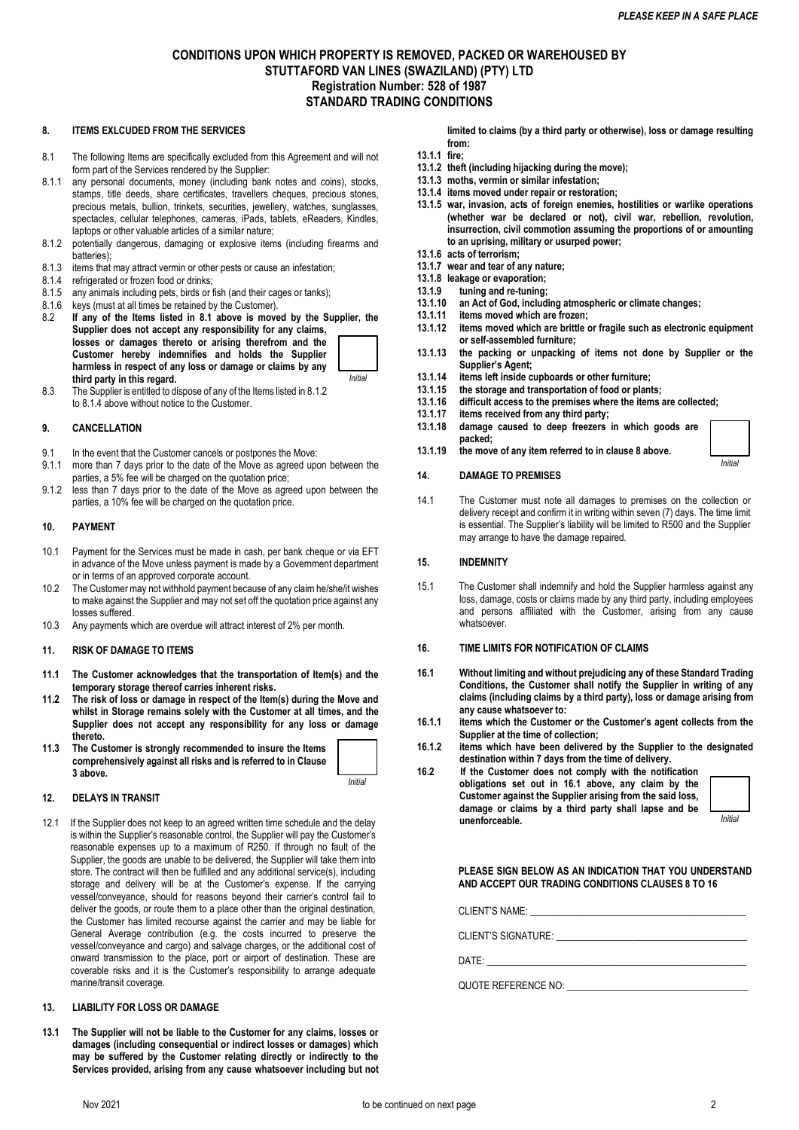# **CONDITIONS UPON WHICH PROPERTY IS REMOVED, PACKED OR WAREHOUSED BY STUTTAFORD VAN LINES (SWAZILAND) (PTY) LTD Registration Number: 528 of 1987 STANDARD TRADING CONDITIONS**

# **8. ITEMS EXLCUDED FROM THE SERVICES**

- 8.1 The following Items are specifically excluded from this Agreement and will not form part of the Services rendered by the Supplier:
- 8.1.1 any personal documents, money (including bank notes and coins), stocks, stamps, title deeds, share certificates, travellers cheques, precious stones, precious metals, bullion, trinkets, securities, jewellery, watches, sunglasses, spectacles, cellular telephones, cameras, iPads, tablets, eReaders, Kindles, laptops or other valuable articles of a similar nature;
- 8.1.2 potentially dangerous, damaging or explosive items (including firearms and batteries);
- 8.1.3 items that may attract vermin or other pests or cause an infestation;
- 8.1.4 refrigerated or frozen food or drinks;
- 8.1.5 any animals including pets, birds or fish (and their cages or tanks);
- 8.1.6 keys (must at all times be retained by the Customer).<br>8.2 If any of the Items listed in 8.1 above is move
- If any of the Items listed in 8.1 above is moved by the Supplier, the **Supplier does not accept any responsibility for any claims, losses or damages thereto or arising therefrom and the Customer hereby indemnifies and holds the Supplier harmless in respect of any loss or damage or claims by any third party in this regard.**  *Initial*
- 8.3 The Supplier is entitled to dispose of any of the Items listed in 8.1.2 to 8.1.4 above without notice to the Customer.

#### **9. CANCELLATION**

- 9.1 In the event that the Customer cancels or postpones the Move:
- 9.1.1 more than 7 days prior to the date of the Move as agreed upon between the parties, a 5% fee will be charged on the quotation price;
- 9.1.2 less than 7 days prior to the date of the Move as agreed upon between the parties, a 10% fee will be charged on the quotation price.

#### **10. PAYMENT**

- 10.1 Payment for the Services must be made in cash, per bank cheque or via EFT in advance of the Move unless payment is made by a Government department or in terms of an approved corporate account.
- 10.2 The Customer may not withhold payment because of any claim he/she/it wishes to make against the Supplier and may not set off the quotation price against any losses suffered.
- 10.3 Any payments which are overdue will attract interest of 2% per month.

#### **11. RISK OF DAMAGE TO ITEMS**

- **11.1 The Customer acknowledges that the transportation of Item(s) and the temporary storage thereof carries inherent risks.**
- **11.2 The risk of loss or damage in respect of the Item(s) during the Move and whilst in Storage remains solely with the Customer at all times, and the Supplier does not accept any responsibility for any loss or damage thereto.**
- **11.3 The Customer is strongly recommended to insure the Items comprehensively against all risks and is referred to in Clause 3 above.**

*Initial*

### **12. DELAYS IN TRANSIT**

12.1 If the Supplier does not keep to an agreed written time schedule and the delay is within the Supplier's reasonable control, the Supplier will pay the Customer's reasonable expenses up to a maximum of R250. If through no fault of the Supplier, the goods are unable to be delivered, the Supplier will take them into store. The contract will then be fulfilled and any additional service(s), including storage and delivery will be at the Customer's expense. If the carrying vessel/conveyance, should for reasons beyond their carrier's control fail to deliver the goods, or route them to a place other than the original destination, the Customer has limited recourse against the carrier and may be liable for General Average contribution (e.g. the costs incurred to preserve the vessel/conveyance and cargo) and salvage charges, or the additional cost of onward transmission to the place, port or airport of destination. These are coverable risks and it is the Customer's responsibility to arrange adequate marine/transit coverage.

### **13. LIABILITY FOR LOSS OR DAMAGE**

**13.1 The Supplier will not be liable to the Customer for any claims, losses or damages (including consequential or indirect losses or damages) which may be suffered by the Customer relating directly or indirectly to the Services provided, arising from any cause whatsoever including but not** 

**limited to claims (by a third party or otherwise), loss or damage resulting from:**

- **13.1.1 fire;**
- **13.1.2 theft (including hijacking during the move);**
- **13.1.3 moths, vermin or similar infestation; 13.1.4 items moved under repair or restoration;**
- **13.1.5 war, invasion, acts of foreign enemies, hostilities or warlike operations (whether war be declared or not), civil war, rebellion, revolution, insurrection, civil commotion assuming the proportions of or amounting to an uprising, military or usurped power;**
- **13.1.6 acts of terrorism;**
- **13.1.7 wear and tear of any nature;**
- **13.1.8 leakage or evaporation;**
- **13.1.9 tuning and re-tuning;**
- **13.1.10 an Act of God, including atmospheric or climate changes;**
- **13.1.11 items moved which are frozen; 13.1.12 items moved which are brittle or fragile such as electronic equipment or self-assembled furniture;**
- **13.1.13 the packing or unpacking of items not done by Supplier or the Supplier's Agent;**
- **13.1.14 items left inside cupboards or other furniture;**
- **13.1.15 the storage and transportation of food or plants;**
- **13.1.16 difficult access to the premises where the items are collected;**
- **13.1.17 items received from any third party;**
- **13.1.18 damage caused to deep freezers in which goods are packed;**
- **13.1.19 the move of any item referred to in clause 8 above.**

### **14. DAMAGE TO PREMISES**

14.1 The Customer must note all damages to premises on the collection or delivery receipt and confirm it in writing within seven (7) days. The time limit is essential. The Supplier's liability will be limited to R500 and the Supplier may arrange to have the damage repaired.

#### **15. INDEMNITY**

15.1 The Customer shall indemnify and hold the Supplier harmless against any loss, damage, costs or claims made by any third party, including employees and persons affiliated with the Customer, arising from any cause whatsoever.

### **16. TIME LIMITS FOR NOTIFICATION OF CLAIMS**

- **16.1 Without limiting and without prejudicing any of these Standard Trading Conditions, the Customer shall notify the Supplier in writing of any claims (including claims by a third party), loss or damage arising from any cause whatsoever to:**
- **16.1.1 items which the Customer or the Customer's agent collects from the Supplier at the time of collection;**
- **16.1.2 items which have been delivered by the Supplier to the designated destination within 7 days from the time of delivery.**

**16.2 If the Customer does not comply with the notification obligations set out in 16.1 above, any claim by the Customer against the Supplier arising from the said loss, damage or claims by a third party shall lapse and be unenforceable.** 



*Initial*

**PLEASE SIGN BELOW AS AN INDICATION THAT YOU UNDERSTAND AND ACCEPT OUR TRADING CONDITIONS CLAUSES 8 TO 16**

CLIENT'S NAME:

CLIENT'S SIGNATURE:

DATE: \_\_\_\_\_\_\_\_\_\_\_\_\_\_\_\_\_\_\_\_\_\_\_\_\_\_\_\_\_\_\_\_\_\_\_\_\_\_\_\_\_\_\_\_\_\_\_\_\_\_\_\_\_

QUOTE REFERENCE NO: \_\_\_\_